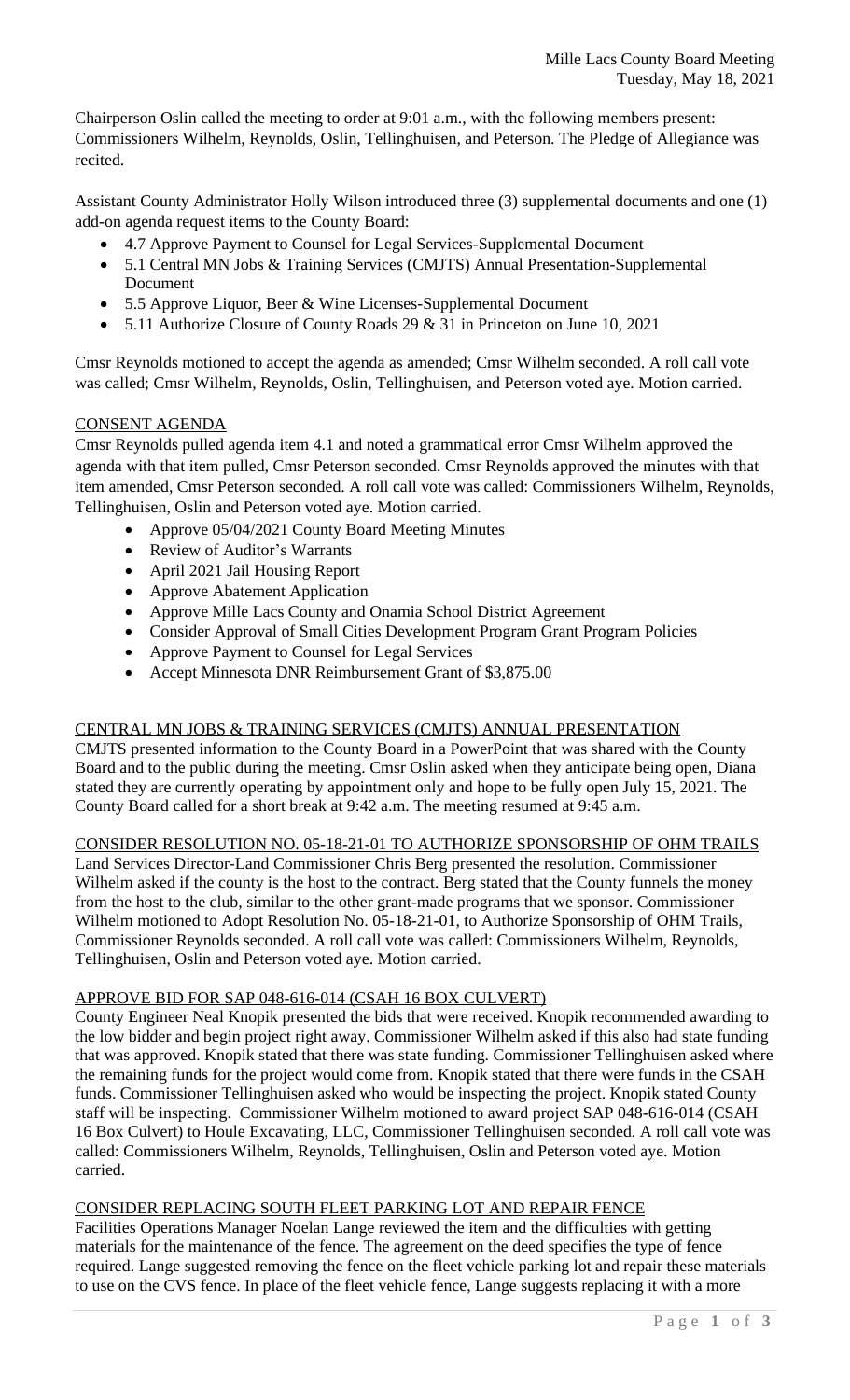Chairperson Oslin called the meeting to order at 9:01 a.m., with the following members present: Commissioners Wilhelm, Reynolds, Oslin, Tellinghuisen, and Peterson. The Pledge of Allegiance was recited.

Assistant County Administrator Holly Wilson introduced three (3) supplemental documents and one (1) add-on agenda request items to the County Board:

- 4.7 Approve Payment to Counsel for Legal Services-Supplemental Document
- 5.1 Central MN Jobs & Training Services (CMJTS) Annual Presentation-Supplemental Document
- 5.5 Approve Liquor, Beer & Wine Licenses-Supplemental Document
- 5.11 Authorize Closure of County Roads 29 & 31 in Princeton on June 10, 2021

Cmsr Reynolds motioned to accept the agenda as amended; Cmsr Wilhelm seconded. A roll call vote was called; Cmsr Wilhelm, Reynolds, Oslin, Tellinghuisen, and Peterson voted aye. Motion carried.

# CONSENT AGENDA

Cmsr Reynolds pulled agenda item 4.1 and noted a grammatical error Cmsr Wilhelm approved the agenda with that item pulled, Cmsr Peterson seconded. Cmsr Reynolds approved the minutes with that item amended, Cmsr Peterson seconded. A roll call vote was called: Commissioners Wilhelm, Reynolds, Tellinghuisen, Oslin and Peterson voted aye. Motion carried.

- Approve 05/04/2021 County Board Meeting Minutes
- Review of Auditor's Warrants
- April 2021 Jail Housing Report
- Approve Abatement Application
- Approve Mille Lacs County and Onamia School District Agreement
- Consider Approval of Small Cities Development Program Grant Program Policies
- Approve Payment to Counsel for Legal Services
- Accept Minnesota DNR Reimbursement Grant of \$3,875.00

# CENTRAL MN JOBS & TRAINING SERVICES (CMJTS) ANNUAL PRESENTATION

CMJTS presented information to the County Board in a PowerPoint that was shared with the County Board and to the public during the meeting. Cmsr Oslin asked when they anticipate being open, Diana stated they are currently operating by appointment only and hope to be fully open July 15, 2021. The County Board called for a short break at 9:42 a.m. The meeting resumed at 9:45 a.m.

# CONSIDER RESOLUTION NO. 05-18-21-01 TO AUTHORIZE SPONSORSHIP OF OHM TRAILS

Land Services Director-Land Commissioner Chris Berg presented the resolution. Commissioner Wilhelm asked if the county is the host to the contract. Berg stated that the County funnels the money from the host to the club, similar to the other grant-made programs that we sponsor. Commissioner Wilhelm motioned to Adopt Resolution No. 05-18-21-01, to Authorize Sponsorship of OHM Trails, Commissioner Reynolds seconded. A roll call vote was called: Commissioners Wilhelm, Reynolds, Tellinghuisen, Oslin and Peterson voted aye. Motion carried.

### APPROVE BID FOR SAP 048-616-014 (CSAH 16 BOX CULVERT)

County Engineer Neal Knopik presented the bids that were received. Knopik recommended awarding to the low bidder and begin project right away. Commissioner Wilhelm asked if this also had state funding that was approved. Knopik stated that there was state funding. Commissioner Tellinghuisen asked where the remaining funds for the project would come from. Knopik stated that there were funds in the CSAH funds. Commissioner Tellinghuisen asked who would be inspecting the project. Knopik stated County staff will be inspecting. Commissioner Wilhelm motioned to award project SAP 048-616-014 (CSAH 16 Box Culvert) to Houle Excavating, LLC, Commissioner Tellinghuisen seconded. A roll call vote was called: Commissioners Wilhelm, Reynolds, Tellinghuisen, Oslin and Peterson voted aye. Motion carried.

### CONSIDER REPLACING SOUTH FLEET PARKING LOT AND REPAIR FENCE

Facilities Operations Manager Noelan Lange reviewed the item and the difficulties with getting materials for the maintenance of the fence. The agreement on the deed specifies the type of fence required. Lange suggested removing the fence on the fleet vehicle parking lot and repair these materials to use on the CVS fence. In place of the fleet vehicle fence, Lange suggests replacing it with a more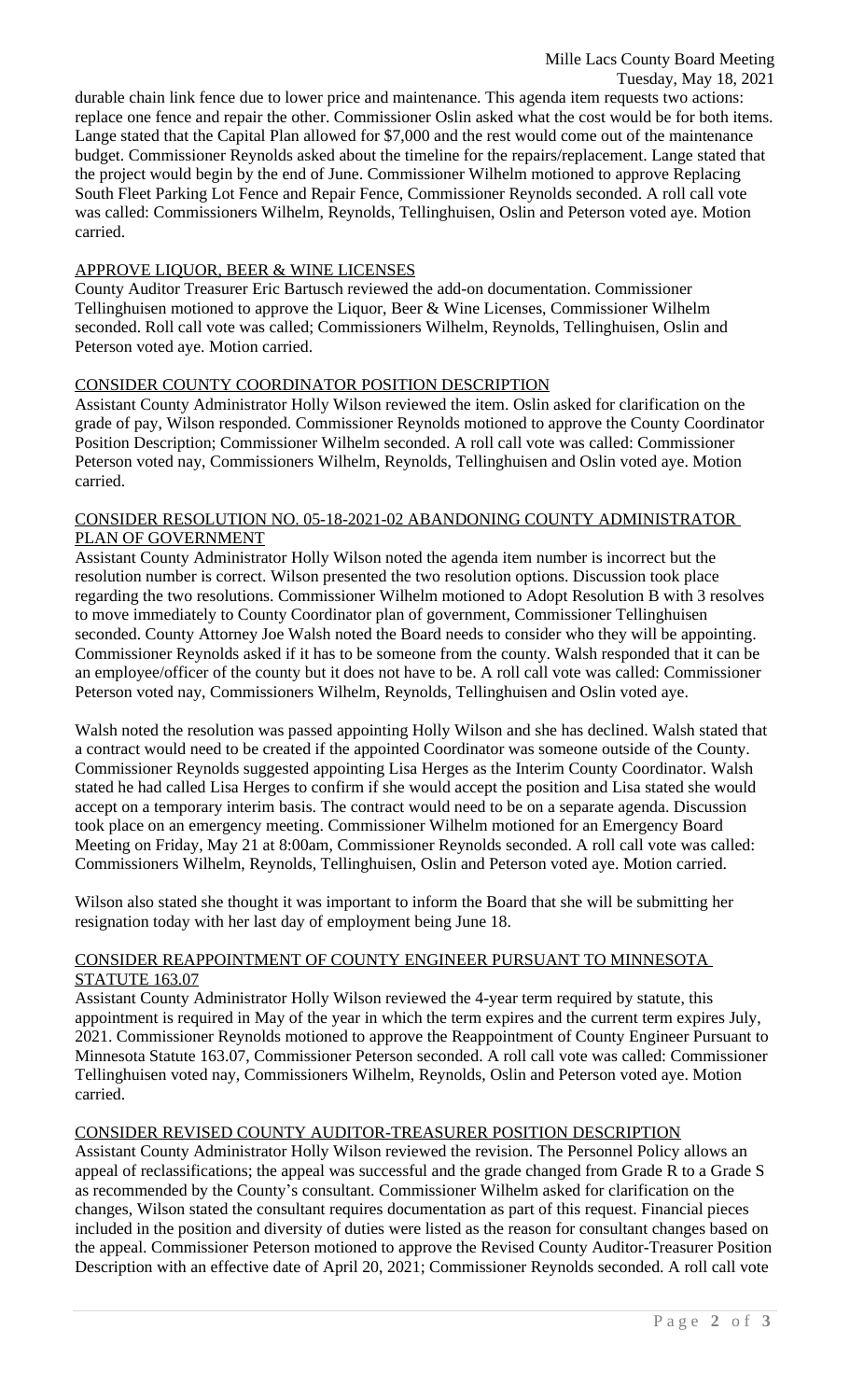durable chain link fence due to lower price and maintenance. This agenda item requests two actions: replace one fence and repair the other. Commissioner Oslin asked what the cost would be for both items. Lange stated that the Capital Plan allowed for \$7,000 and the rest would come out of the maintenance budget. Commissioner Reynolds asked about the timeline for the repairs/replacement. Lange stated that the project would begin by the end of June. Commissioner Wilhelm motioned to approve Replacing South Fleet Parking Lot Fence and Repair Fence, Commissioner Reynolds seconded. A roll call vote was called: Commissioners Wilhelm, Reynolds, Tellinghuisen, Oslin and Peterson voted aye. Motion carried.

## APPROVE LIQUOR, BEER & WINE LICENSES

County Auditor Treasurer Eric Bartusch reviewed the add-on documentation. Commissioner Tellinghuisen motioned to approve the Liquor, Beer & Wine Licenses, Commissioner Wilhelm seconded. Roll call vote was called; Commissioners Wilhelm, Reynolds, Tellinghuisen, Oslin and Peterson voted aye. Motion carried.

# CONSIDER COUNTY COORDINATOR POSITION DESCRIPTION

Assistant County Administrator Holly Wilson reviewed the item. Oslin asked for clarification on the grade of pay, Wilson responded. Commissioner Reynolds motioned to approve the County Coordinator Position Description; Commissioner Wilhelm seconded. A roll call vote was called: Commissioner Peterson voted nay, Commissioners Wilhelm, Reynolds, Tellinghuisen and Oslin voted aye. Motion carried.

#### CONSIDER RESOLUTION NO. 05-18-2021-02 ABANDONING COUNTY ADMINISTRATOR PLAN OF GOVERNMENT

Assistant County Administrator Holly Wilson noted the agenda item number is incorrect but the resolution number is correct. Wilson presented the two resolution options. Discussion took place regarding the two resolutions. Commissioner Wilhelm motioned to Adopt Resolution B with 3 resolves to move immediately to County Coordinator plan of government, Commissioner Tellinghuisen seconded. County Attorney Joe Walsh noted the Board needs to consider who they will be appointing. Commissioner Reynolds asked if it has to be someone from the county. Walsh responded that it can be an employee/officer of the county but it does not have to be. A roll call vote was called: Commissioner Peterson voted nay, Commissioners Wilhelm, Reynolds, Tellinghuisen and Oslin voted aye.

Walsh noted the resolution was passed appointing Holly Wilson and she has declined. Walsh stated that a contract would need to be created if the appointed Coordinator was someone outside of the County. Commissioner Reynolds suggested appointing Lisa Herges as the Interim County Coordinator. Walsh stated he had called Lisa Herges to confirm if she would accept the position and Lisa stated she would accept on a temporary interim basis. The contract would need to be on a separate agenda. Discussion took place on an emergency meeting. Commissioner Wilhelm motioned for an Emergency Board Meeting on Friday, May 21 at 8:00am, Commissioner Reynolds seconded. A roll call vote was called: Commissioners Wilhelm, Reynolds, Tellinghuisen, Oslin and Peterson voted aye. Motion carried.

Wilson also stated she thought it was important to inform the Board that she will be submitting her resignation today with her last day of employment being June 18.

### CONSIDER REAPPOINTMENT OF COUNTY ENGINEER PURSUANT TO MINNESOTA STATUTE 163.07

Assistant County Administrator Holly Wilson reviewed the 4-year term required by statute, this appointment is required in May of the year in which the term expires and the current term expires July, 2021. Commissioner Reynolds motioned to approve the Reappointment of County Engineer Pursuant to Minnesota Statute 163.07, Commissioner Peterson seconded. A roll call vote was called: Commissioner Tellinghuisen voted nay, Commissioners Wilhelm, Reynolds, Oslin and Peterson voted aye. Motion carried.

### CONSIDER REVISED COUNTY AUDITOR-TREASURER POSITION DESCRIPTION

Assistant County Administrator Holly Wilson reviewed the revision. The Personnel Policy allows an appeal of reclassifications; the appeal was successful and the grade changed from Grade R to a Grade S as recommended by the County's consultant. Commissioner Wilhelm asked for clarification on the changes, Wilson stated the consultant requires documentation as part of this request. Financial pieces included in the position and diversity of duties were listed as the reason for consultant changes based on the appeal. Commissioner Peterson motioned to approve the Revised County Auditor-Treasurer Position Description with an effective date of April 20, 2021; Commissioner Reynolds seconded. A roll call vote